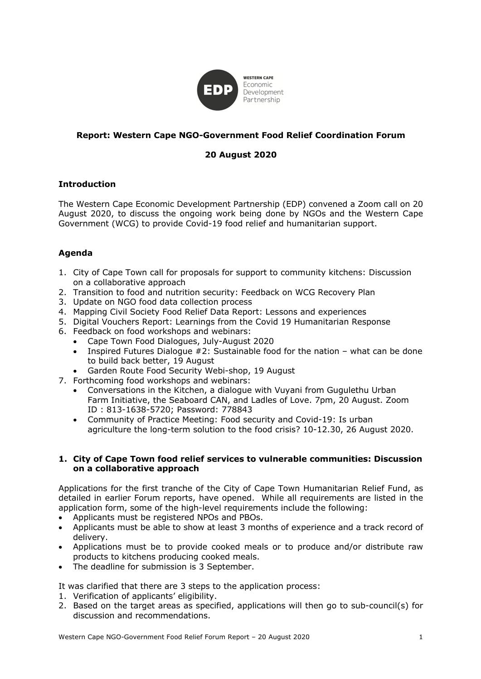

# **Report: Western Cape NGO-Government Food Relief Coordination Forum**

# **20 August 2020**

## **Introduction**

The Western Cape Economic Development Partnership (EDP) convened a Zoom call on 20 August 2020, to discuss the ongoing work being done by NGOs and the Western Cape Government (WCG) to provide Covid-19 food relief and humanitarian support.

## **Agenda**

- 1. City of Cape Town call for proposals for support to community kitchens: Discussion on a collaborative approach
- 2. Transition to food and nutrition security: Feedback on WCG Recovery Plan
- 3. Update on NGO food data collection process
- 4. Mapping Civil Society Food Relief Data Report: Lessons and experiences
- 5. Digital Vouchers Report: Learnings from the Covid 19 Humanitarian Response
- 6. Feedback on food workshops and webinars:
	- Cape Town Food Dialogues, July-August 2020
	- Inspired Futures Dialogue #2: Sustainable food for the nation what can be done to build back better, 19 August
	- Garden Route Food Security Webi-shop, 19 August
- 7. Forthcoming food workshops and webinars:
	- Conversations in the Kitchen, a dialogue with Vuyani from Gugulethu Urban Farm Initiative, the Seaboard CAN, and Ladles of Love. 7pm, 20 August. Zoom ID : 813-1638-5720; Password: 778843
	- Community of Practice Meeting: Food security and Covid-19: Is urban agriculture the long-term solution to the food crisis? 10-12.30, 26 August 2020.

#### **1. City of Cape Town food relief services to vulnerable communities: Discussion on a collaborative approach**

Applications for the first tranche of the City of Cape Town Humanitarian Relief Fund, as detailed in earlier Forum reports, have opened. While all requirements are listed in the application form, some of the high-level requirements include the following:

- Applicants must be registered NPOs and PBOs.
- Applicants must be able to show at least 3 months of experience and a track record of delivery.
- Applications must be to provide cooked meals or to produce and/or distribute raw products to kitchens producing cooked meals.
- The deadline for submission is 3 September.

It was clarified that there are 3 steps to the application process:

- 1. Verification of applicants' eligibility.
- 2. Based on the target areas as specified, applications will then go to sub-council(s) for discussion and recommendations.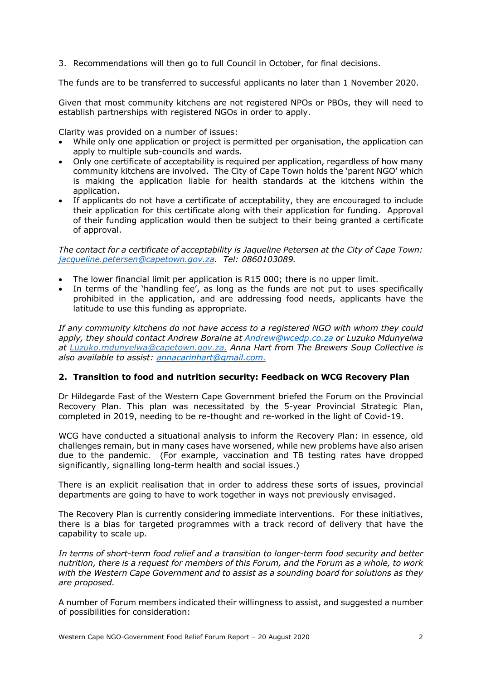3. Recommendations will then go to full Council in October, for final decisions.

The funds are to be transferred to successful applicants no later than 1 November 2020.

Given that most community kitchens are not registered NPOs or PBOs, they will need to establish partnerships with registered NGOs in order to apply.

Clarity was provided on a number of issues:

- While only one application or project is permitted per organisation, the application can apply to multiple sub-councils and wards.
- Only one certificate of acceptability is required per application, regardless of how many community kitchens are involved. The City of Cape Town holds the 'parent NGO' which is making the application liable for health standards at the kitchens within the application.
- If applicants do not have a certificate of acceptability, they are encouraged to include their application for this certificate along with their application for funding. Approval of their funding application would then be subject to their being granted a certificate of approval.

*The contact for a certificate of acceptability is Jaqueline Petersen at the City of Cape Town: jacqueline.petersen@capetown.gov.za. Tel: 0860103089.*

- The lower financial limit per application is R15 000; there is no upper limit.
- In terms of the 'handling fee', as long as the funds are not put to uses specifically prohibited in the application, and are addressing food needs, applicants have the latitude to use this funding as appropriate.

*If any community kitchens do not have access to a registered NGO with whom they could apply, they should contact Andrew Boraine at Andrew@wcedp.co.za or Luzuko Mdunyelwa at Luzuko.mdunyelwa@capetown.gov.za. Anna Hart from The Brewers Soup Collective is also available to assist: annacarinhart@gmail.com.* 

# **2. Transition to food and nutrition security: Feedback on WCG Recovery Plan**

Dr Hildegarde Fast of the Western Cape Government briefed the Forum on the Provincial Recovery Plan. This plan was necessitated by the 5-year Provincial Strategic Plan, completed in 2019, needing to be re-thought and re-worked in the light of Covid-19.

WCG have conducted a situational analysis to inform the Recovery Plan: in essence, old challenges remain, but in many cases have worsened, while new problems have also arisen due to the pandemic. (For example, vaccination and TB testing rates have dropped significantly, signalling long-term health and social issues.)

There is an explicit realisation that in order to address these sorts of issues, provincial departments are going to have to work together in ways not previously envisaged.

The Recovery Plan is currently considering immediate interventions. For these initiatives, there is a bias for targeted programmes with a track record of delivery that have the capability to scale up.

In terms of short-term food relief and a transition to longer-term food security and better *nutrition, there is a request for members of this Forum, and the Forum as a whole, to work with the Western Cape Government and to assist as a sounding board for solutions as they are proposed.*

A number of Forum members indicated their willingness to assist, and suggested a number of possibilities for consideration: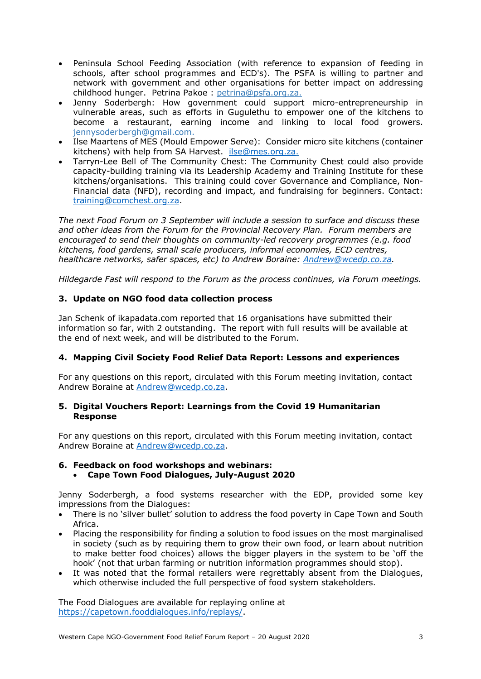- Peninsula School Feeding Association (with reference to expansion of feeding in schools, after school programmes and ECD's). The PSFA is willing to partner and network with government and other organisations for better impact on addressing childhood hunger. Petrina Pakoe : petrina@psfa.org.za.
- Jenny Soderbergh: How government could support micro-entrepreneurship in vulnerable areas, such as efforts in Gugulethu to empower one of the kitchens to become a restaurant, earning income and linking to local food growers. jennysoderbergh@gmail.com.
- Ilse Maartens of MES (Mould Empower Serve): Consider micro site kitchens (container kitchens) with help from SA Harvest. ilse@mes.org.za.
- Tarryn-Lee Bell of The Community Chest: The Community Chest could also provide capacity-building training via its Leadership Academy and Training Institute for these kitchens/organisations. This training could cover Governance and Compliance, Non-Financial data (NFD), recording and impact, and fundraising for beginners. Contact: training@comchest.org.za.

*The next Food Forum on 3 September will include a session to surface and discuss these and other ideas from the Forum for the Provincial Recovery Plan. Forum members are encouraged to send their thoughts on community-led recovery programmes (e.g. food kitchens, food gardens, small scale producers, informal economies, ECD centres, healthcare networks, safer spaces, etc) to Andrew Boraine: Andrew@wcedp.co.za.*

*Hildegarde Fast will respond to the Forum as the process continues, via Forum meetings.*

# **3. Update on NGO food data collection process**

Jan Schenk of ikapadata.com reported that 16 organisations have submitted their information so far, with 2 outstanding. The report with full results will be available at the end of next week, and will be distributed to the Forum.

# **4. Mapping Civil Society Food Relief Data Report: Lessons and experiences**

For any questions on this report, circulated with this Forum meeting invitation, contact Andrew Boraine at Andrew@wcedp.co.za.

## **5. Digital Vouchers Report: Learnings from the Covid 19 Humanitarian Response**

For any questions on this report, circulated with this Forum meeting invitation, contact Andrew Boraine at Andrew@wcedp.co.za.

# **6. Feedback on food workshops and webinars:**

# • **Cape Town Food Dialogues, July-August 2020**

Jenny Soderbergh, a food systems researcher with the EDP, provided some key impressions from the Dialogues:

- There is no 'silver bullet' solution to address the food poverty in Cape Town and South Africa.
- Placing the responsibility for finding a solution to food issues on the most marginalised in society (such as by requiring them to grow their own food, or learn about nutrition to make better food choices) allows the bigger players in the system to be 'off the hook' (not that urban farming or nutrition information programmes should stop).
- It was noted that the formal retailers were regrettably absent from the Dialogues, which otherwise included the full perspective of food system stakeholders.

The Food Dialogues are available for replaying online at https://capetown.fooddialogues.info/replays/.